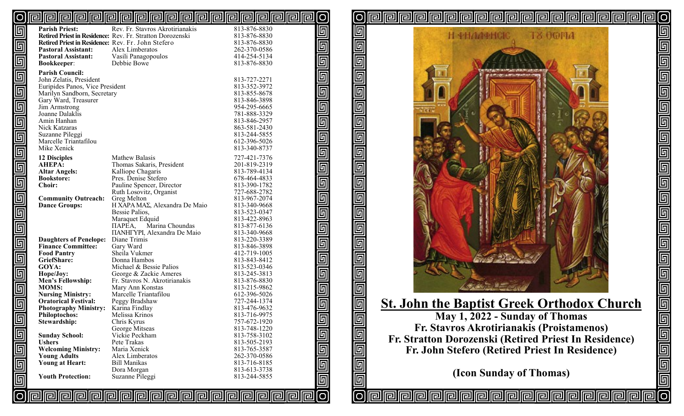#### <u>pipipipipipipipipipipipipipipipipi</u> lol **O**

| ؘ <sup>ؖ</sup> ۨڸؖ                 | <b>Parish Priest:</b>                              | Rev. Fr. Stavros Akrotirianakis                           | 813-876-8830                 |
|------------------------------------|----------------------------------------------------|-----------------------------------------------------------|------------------------------|
|                                    |                                                    | Retired Priest in Residence: Rev. Fr. Stratton Dorozenski | 813-876-8830                 |
| 画                                  | Retired Priest in Residence: Rev. Fr. John Stefero |                                                           | 813-876-8830                 |
|                                    | <b>Pastoral Assistant:</b>                         | Alex Limberatos                                           | 262-370-0586                 |
|                                    | <b>Pastoral Assistant:</b>                         | Vasili Panagopoulos                                       | 414-254-5134                 |
| $\Box$                             | <b>Bookkeeper:</b>                                 | Debbie Bowe                                               | 813-876-8830                 |
|                                    | <b>Parish Council:</b>                             |                                                           |                              |
| 画                                  | John Zelatis, President                            |                                                           | 813-727-2271                 |
|                                    | Euripides Panos, Vice President                    |                                                           | 813-352-3972                 |
|                                    | Marilyn Sandborn, Secretary                        |                                                           | 813-855-8678                 |
| Ó                                  | Gary Ward, Treasurer                               |                                                           | 813-846-3898                 |
| $\overline{\mathbb{F}}$            | Jim Armstrong                                      |                                                           | 954-295-6665                 |
|                                    | Joanne Dalaklis                                    |                                                           | 781-888-3329                 |
| $\overline{\overline{\mathbb{G}}}$ | Amin Hanhan                                        |                                                           | 813-846-2957                 |
|                                    | Nick Katzaras                                      |                                                           | 863-581-2430                 |
|                                    | Suzanne Pileggi                                    |                                                           | 813-244-5855                 |
| $\overline{\blacksquare}$          | Marcelle Triantafilou                              |                                                           | 612-396-5026                 |
|                                    | Mike Xenick                                        |                                                           | 813-340-8737                 |
| 画                                  |                                                    |                                                           |                              |
|                                    | <b>12 Disciples</b>                                | Mathew Balasis                                            | 727-421-7376                 |
| 回                                  | <b>AHEPA:</b>                                      | Thomas Sakaris, President                                 | 201-819-2319                 |
|                                    | <b>Altar Angels:</b>                               | Kalliope Chagaris                                         | 813-789-4134                 |
|                                    | <b>Bookstore:</b>                                  | Pres. Denise Stefero                                      | 678-464-4833                 |
| 画                                  | <b>Choir:</b>                                      | Pauline Spencer, Director                                 | 813-390-1782                 |
|                                    |                                                    | Ruth Losovitz, Organist                                   | 727-688-2782                 |
| 画                                  | <b>Community Outreach:</b>                         | Greg Melton                                               | 813-967-2074                 |
|                                    | <b>Dance Groups:</b>                               | Η ΧΆΡΑ ΜΑΣ, Alexandra De Maio                             | 813-340-9668                 |
| $\Box$                             |                                                    | Bessie Palios,                                            | 813-523-0347                 |
|                                    |                                                    | Maraquet Edquid                                           | 813-422-8963                 |
| $\overline{\mathbb{F}}$            |                                                    | Marina Choundas<br>ПАРЕА,                                 | 813-877-6136                 |
|                                    |                                                    | <b>HANHFYPI</b> , Alexandra De Maio                       | 813-340-9668                 |
| $\overline{\mathbb{F}}$            | <b>Daughters of Penelope:</b>                      | Diane Trimis                                              | 813-220-3389                 |
|                                    | <b>Finance Committee:</b>                          | Gary Ward                                                 | 813-846-3898                 |
| $\Box$                             | <b>Food Pantry</b>                                 | Sheila Vukmer                                             | 412-719-1005                 |
|                                    | GriefShare:                                        | Donna Hambos                                              | 813-843-8412                 |
|                                    | GOYA:                                              | Michael & Bessie Palios                                   | 813-523-0346                 |
| $\blacksquare$                     | Hope/Joy:                                          | George & Zackie Ameres                                    | 813-245-3813                 |
|                                    | <b>Men's Fellowship:</b>                           | Fr. Stavros N. Akrotirianakis<br>Mary Ann Konstas         | 813-876-8830                 |
| 画                                  | <b>MOMS:</b><br><b>Nursing Ministry:</b>           | Marcelle Triantafilou                                     | 813-215-9862<br>612-396-5026 |
|                                    | <b>Oratorical Festival:</b>                        | Peggy Bradshaw                                            | 727-244-1374                 |
| $\Box$                             | <b>Photography Ministry:</b>                       | Karina Findlay                                            | 813-476-9632                 |
|                                    | <b>Philoptochos:</b>                               | Melissa Krinos                                            | 813-716-9975                 |
| 回                                  | Stewardship:                                       | Chris Kyrus                                               | 757-672-1920                 |
|                                    |                                                    | George Mitseas                                            | 813-748-1220                 |
|                                    | <b>Sunday School:</b>                              | Vickie Peckham                                            | 813-758-3102                 |
|                                    | <b>Ushers</b>                                      | Pete Trakas                                               | 813-505-2193                 |
|                                    | <b>Welcoming Ministry:</b>                         | Maria Xenick                                              | 813-765-3587                 |
|                                    | <b>Young Adults</b>                                | Alex Limberatos                                           | 262-370-0586                 |
|                                    | <b>Young at Heart:</b>                             | <b>Bill Manikas</b>                                       | 813-716-8185                 |
|                                    |                                                    | Dora Morgan                                               | 813-613-3738                 |
|                                    | <b>Youth Protection:</b>                           | Suzanne Pileggi                                           | 813-244-5855                 |
| elele                              |                                                    |                                                           |                              |
|                                    |                                                    |                                                           |                              |
|                                    |                                                    | <b>PPPPPPPPPPPP</b>                                       |                              |



匠

回

 $\overline{\mathbb{F}}$ 

 $\overline{\mathbb{F}}$ 

 $\overline{\mathbb{F}}$ 

 $\overline{\mathbb{F}}$ 

 $\overline{\mathbb{F}}$ 

回

回

回

 $\overline{\mathbb{F}}$ 

 $\overline{\mathbb{F}}$ 

回

回

団

 $\overline{\mathbb{F}}$ 

回

匠

回

ΙO

回 回 回 回 回

回回回回

 $\overline{\mathbb{F}}$ 

 $\overline{\mathbb{F}}$ 

 $\overline{\mathbb{F}}$ 

b<br>b

 $\overline{\mathbb{F}}$ 

[O

 $|O|$ 

 $\overline{\mathbb{F}}$ 

画画画画

回同

واواواواواواوا

<u>ල</u>

**piralie** 

# **St. John the Baptist Greek Orthodox Church**

**May 1, 2022 - Sunday of Thomas Fr. Stavros Akrotirianakis (Proistamenos) Fr. Stratton Dorozenski (Retired Priest In Residence) Fr. John Stefero (Retired Priest In Residence)**

**(Icon Sunday of Thomas)**

<u>relielielielielielie</u>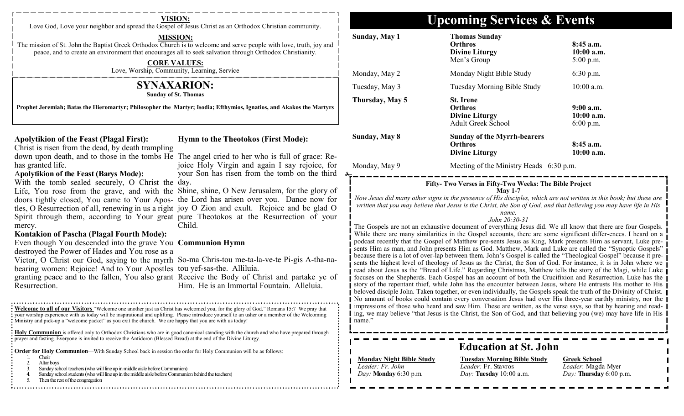| VISION:<br>Love God, Love your neighbor and spread the Gospel of Jesus Christ as an Orthodox Christian community.                                                                                                                                                                                                                                                                                                                                                                                                                                                                                                                                                                                                                                                                                                                                                                                                                                                                                                                                                                                                                                                                                                                                                                                                                                                                                                                                                                                                                        | <b>Upcoming Services &amp; Events</b>                                                                                                                                                                                                                                                                                                                                                                                                                                                                                                                                                                                                                                                                                                                                                                                                                                                                                                                                                                                                                                                                                                                                                                                                                                                                                                                                                                                                                                                                                                                                                                                                                                                                                                                                                                                                                                                        |                                                                                      |                                                                                     |
|------------------------------------------------------------------------------------------------------------------------------------------------------------------------------------------------------------------------------------------------------------------------------------------------------------------------------------------------------------------------------------------------------------------------------------------------------------------------------------------------------------------------------------------------------------------------------------------------------------------------------------------------------------------------------------------------------------------------------------------------------------------------------------------------------------------------------------------------------------------------------------------------------------------------------------------------------------------------------------------------------------------------------------------------------------------------------------------------------------------------------------------------------------------------------------------------------------------------------------------------------------------------------------------------------------------------------------------------------------------------------------------------------------------------------------------------------------------------------------------------------------------------------------------|----------------------------------------------------------------------------------------------------------------------------------------------------------------------------------------------------------------------------------------------------------------------------------------------------------------------------------------------------------------------------------------------------------------------------------------------------------------------------------------------------------------------------------------------------------------------------------------------------------------------------------------------------------------------------------------------------------------------------------------------------------------------------------------------------------------------------------------------------------------------------------------------------------------------------------------------------------------------------------------------------------------------------------------------------------------------------------------------------------------------------------------------------------------------------------------------------------------------------------------------------------------------------------------------------------------------------------------------------------------------------------------------------------------------------------------------------------------------------------------------------------------------------------------------------------------------------------------------------------------------------------------------------------------------------------------------------------------------------------------------------------------------------------------------------------------------------------------------------------------------------------------------|--------------------------------------------------------------------------------------|-------------------------------------------------------------------------------------|
| <b>MISSION:</b><br>The mission of St. John the Baptist Greek Orthodox Church is to welcome and serve people with love, truth, joy and<br>peace, and to create an environment that encourages all to seek salvation through Orthodox Christianity.<br><b>CORE VALUES:</b>                                                                                                                                                                                                                                                                                                                                                                                                                                                                                                                                                                                                                                                                                                                                                                                                                                                                                                                                                                                                                                                                                                                                                                                                                                                                 | Sunday, May 1                                                                                                                                                                                                                                                                                                                                                                                                                                                                                                                                                                                                                                                                                                                                                                                                                                                                                                                                                                                                                                                                                                                                                                                                                                                                                                                                                                                                                                                                                                                                                                                                                                                                                                                                                                                                                                                                                | <b>Thomas Sunday</b><br><b>Orthros</b><br><b>Divine Liturgy</b><br>Men's Group       | 8:45 a.m.<br>$10:00$ a.m.<br>$5:00$ p.m.                                            |
| Love, Worship, Community, Learning, Service                                                                                                                                                                                                                                                                                                                                                                                                                                                                                                                                                                                                                                                                                                                                                                                                                                                                                                                                                                                                                                                                                                                                                                                                                                                                                                                                                                                                                                                                                              | Monday, May 2                                                                                                                                                                                                                                                                                                                                                                                                                                                                                                                                                                                                                                                                                                                                                                                                                                                                                                                                                                                                                                                                                                                                                                                                                                                                                                                                                                                                                                                                                                                                                                                                                                                                                                                                                                                                                                                                                | Monday Night Bible Study                                                             | $6:30$ p.m.                                                                         |
| <b>SYNAXARION:</b>                                                                                                                                                                                                                                                                                                                                                                                                                                                                                                                                                                                                                                                                                                                                                                                                                                                                                                                                                                                                                                                                                                                                                                                                                                                                                                                                                                                                                                                                                                                       | Tuesday, May 3                                                                                                                                                                                                                                                                                                                                                                                                                                                                                                                                                                                                                                                                                                                                                                                                                                                                                                                                                                                                                                                                                                                                                                                                                                                                                                                                                                                                                                                                                                                                                                                                                                                                                                                                                                                                                                                                               | Tuesday Morning Bible Study                                                          | $10:00$ a.m.                                                                        |
| <b>Sunday of St. Thomas</b><br>Prophet Jeremiah; Batas the Hieromartyr; Philosopher the Martyr; Isodia; Efthymios, Ignatios, and Akakos the Martyrs                                                                                                                                                                                                                                                                                                                                                                                                                                                                                                                                                                                                                                                                                                                                                                                                                                                                                                                                                                                                                                                                                                                                                                                                                                                                                                                                                                                      | Thursday, May 5                                                                                                                                                                                                                                                                                                                                                                                                                                                                                                                                                                                                                                                                                                                                                                                                                                                                                                                                                                                                                                                                                                                                                                                                                                                                                                                                                                                                                                                                                                                                                                                                                                                                                                                                                                                                                                                                              | <b>St.</b> Irene<br><b>Orthros</b><br><b>Divine Liturgy</b><br>Adult Greek School    | $9:00$ a.m.<br>10:00 a.m.<br>$6:00$ p.m.                                            |
| <b>Hymn to the Theotokos (First Mode):</b><br><b>Apolytikion of the Feast (Plagal First):</b><br>Christ is risen from the dead, by death trampling<br>down upon death, and to those in the tombs He The angel cried to her who is full of grace: Re-                                                                                                                                                                                                                                                                                                                                                                                                                                                                                                                                                                                                                                                                                                                                                                                                                                                                                                                                                                                                                                                                                                                                                                                                                                                                                     | Sunday, May 8                                                                                                                                                                                                                                                                                                                                                                                                                                                                                                                                                                                                                                                                                                                                                                                                                                                                                                                                                                                                                                                                                                                                                                                                                                                                                                                                                                                                                                                                                                                                                                                                                                                                                                                                                                                                                                                                                | <b>Sunday of the Myrrh-bearers</b><br><b>Orthros</b><br><b>Divine Liturgy</b>        | 8:45 a.m.<br>10:00 a.m.                                                             |
| joice Holy Virgin and again I say rejoice, for<br>has granted life.<br><b>Apolytikion of the Feast (Barys Mode):</b><br>your Son has risen from the tomb on the third                                                                                                                                                                                                                                                                                                                                                                                                                                                                                                                                                                                                                                                                                                                                                                                                                                                                                                                                                                                                                                                                                                                                                                                                                                                                                                                                                                    | Monday, May 9                                                                                                                                                                                                                                                                                                                                                                                                                                                                                                                                                                                                                                                                                                                                                                                                                                                                                                                                                                                                                                                                                                                                                                                                                                                                                                                                                                                                                                                                                                                                                                                                                                                                                                                                                                                                                                                                                | Meeting of the Ministry Heads 6:30 p.m.                                              |                                                                                     |
| With the tomb sealed securely, O Christ the day.<br>Life, You rose from the grave, and with the Shine, shine, O New Jerusalem, for the glory of<br>doors tightly closed, You came to Your Apos- the Lord has arisen over you. Dance now for<br>tles, O Resurrection of all, renewing in us a right joy O Zion and exult. Rejoice and be glad O<br>Spirit through them, according to Your great pure Theotokos at the Resurrection of your<br>Child.<br>mercy.<br><b>Kontakion of Pascha (Plagal Fourth Mode):</b><br>Even though You descended into the grave You Communion Hymn<br>destroyed the Power of Hades and You rose as a<br>Victor, O Christ our God, saying to the myrrh So-ma Chris-tou me-ta-la-ve-te Pi-gis A-tha-na-<br>bearing women: Rejoice! And to Your Apostles tou yef-sas-the. Alliluia.<br>granting peace and to the fallen, You also grant Receive the Body of Christ and partake ye of<br>Him. He is an Immortal Fountain. Alleluia.<br>Resurrection.<br>: Welcome to all of our Visitors "Welcome one another just as Christ has welcomed you, for the glory of God." Romans 15:7 We pray that<br>: your worship experience with us today will be inspirational and uplifting. Please introduce yourself to an usher or a member of the Welcoming<br>Ministry and pick-up a "welcome packet" as you exit the church. We are happy that you are with us today!<br><b>Holy Communion</b> is offered only to Orthodox Christians who are in good canonical standing with the church and who have prepared through | Fifty- Two Verses in Fifty-Two Weeks: The Bible Project<br><b>May 1-7</b><br>Now Jesus did many other signs in the presence of His disciples, which are not written in this book; but these are<br>written that you may believe that Jesus is the Christ, the Son of God, and that believing you may have life in His<br>name.<br>John 20:30-31<br>The Gospels are not an exhaustive document of everything Jesus did. We all know that there are four Gospels.<br>While there are many similarities in the Gospel accounts, there are some significant differ-ences. I heard on a<br>podcast recently that the Gospel of Matthew pre-sents Jesus as King, Mark presents Him as servant, Luke pre-<br>sents Him as man, and John presents Him as God. Matthew, Mark and Luke are called the "Synoptic Gospels"<br>because there is a lot of over-lap between them. John's Gospel is called the "Theological Gospel" because it pre-<br>sents the highest level of theology of Jesus as the Christ, the Son of God. For instance, it is in John where we<br>read about Jesus as the "Bread of Life." Regarding Christmas, Matthew tells the story of the Magi, while Luke<br>focuses on the Shepherds. Each Gospel has an account of both the Crucifixion and Resurrection. Luke has the<br>story of the repentant thief, while John has the encounter between Jesus, where He entrusts His mother to His<br>beloved disciple John. Taken together, or even individually, the Gospels speak the truth of the Divinity of Christ.<br>No amount of books could contain every conversation Jesus had over His three-year earthly ministry, nor the<br>impressions of those who heard and saw Him. These are written, as the verse says, so that by hearing and read-<br>ing, we may believe "that Jesus is the Christ, the Son of God, and that believing you (we) may have life in His<br>mame. |                                                                                      |                                                                                     |
| prayer and fasting. Everyone is invited to receive the Antidoron (Blessed Bread) at the end of the Divine Liturgy.<br><b>Corder for Holy Communion</b> —With Sunday School back in session the order for Holy Communion will be as follows:                                                                                                                                                                                                                                                                                                                                                                                                                                                                                                                                                                                                                                                                                                                                                                                                                                                                                                                                                                                                                                                                                                                                                                                                                                                                                              |                                                                                                                                                                                                                                                                                                                                                                                                                                                                                                                                                                                                                                                                                                                                                                                                                                                                                                                                                                                                                                                                                                                                                                                                                                                                                                                                                                                                                                                                                                                                                                                                                                                                                                                                                                                                                                                                                              | <b>Education at St. John</b>                                                         |                                                                                     |
| Choir<br>2.<br>Altar boys<br>Sunday school teachers (who will line up in middle aisle before Communion)<br>Sunday school students (who will line up in the middle aisle before Communion behind the teachers)<br>Then the rest of the congregation                                                                                                                                                                                                                                                                                                                                                                                                                                                                                                                                                                                                                                                                                                                                                                                                                                                                                                                                                                                                                                                                                                                                                                                                                                                                                       | <b>Monday Night Bible Study</b><br>Leader: Fr. John<br>Day: Monday 6:30 p.m.                                                                                                                                                                                                                                                                                                                                                                                                                                                                                                                                                                                                                                                                                                                                                                                                                                                                                                                                                                                                                                                                                                                                                                                                                                                                                                                                                                                                                                                                                                                                                                                                                                                                                                                                                                                                                 | <b>Tuesday Morning Bible Study</b><br>Leader: Fr. Stavros<br>Day: Tuesday 10:00 a.m. | <b>Greek School</b><br>Leader: Magda Myer<br><i>Day</i> : <b>Thursday</b> 6:00 p.m. |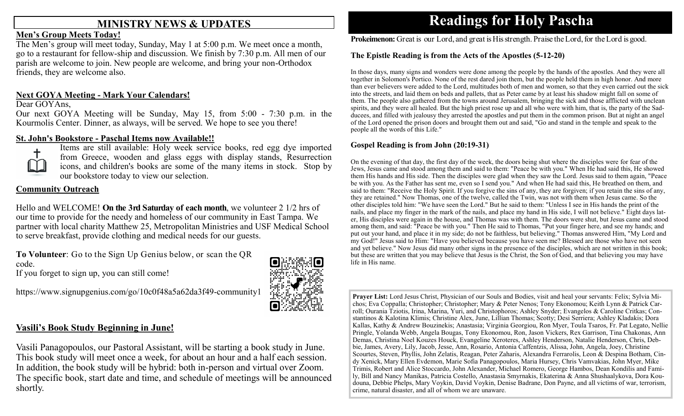## **MINISTRY NEWS & UPDATES**

### **Men's Group Meets Today!**

The Men's group will meet today, Sunday, May 1 at 5:00 p.m. We meet once a month, go to a restaurant for fellow-ship and discussion. We finish by 7:30 p.m. All men of our parish are welcome to join. New people are welcome, and bring your non-Orthodox friends, they are welcome also.

### **Next GOYA Meeting - Mark Your Calendars!**

### Dear GOYAns,

Our next GOYA Meeting will be Sunday, May 15, from 5:00 - 7:30 p.m. in the Kourmolis Center. Dinner, as always, will be served. We hope to see you there!

### **St. John's Bookstore - Paschal Items now Available!!**



Items are still available: Holy week service books, red egg dye imported from Greece, wooden and glass eggs with display stands, Resurrection icons, and children's books are some of the many items in stock. Stop by our bookstore today to view our selection.

### **Community Outreach**

Hello and WELCOME! **On the 3rd Saturday of each month**, we volunteer 2 1/2 hrs of our time to provide for the needy and homeless of our community in East Tampa. We partner with local charity Matthew 25, Metropolitan Ministries and USF Medical School to serve breakfast, provide clothing and medical needs for our guests.

**To Volunteer**: Go to the Sign Up Genius below, or scan the QR code.

If you forget to sign up, you can still come!

https://www.signupgenius.com/go/10c0f48a5a62da3f49-community1



### **Vasili's Book Study Beginning in June!**

Vasili Panagopoulos, our Pastoral Assistant, will be starting a book study in June. This book study will meet once a week, for about an hour and a half each session. In addition, the book study will be hybrid: both in-person and virtual over Zoom. The specific book, start date and time, and schedule of meetings will be announced shortly.

# **Readings for Holy Pascha**

**Prokeimenon:** Great is our Lord, and great is His strength. Praise the Lord, for the Lord is good.

### **The Epistle Reading is from the Acts of the Apostles (5-12-20)**

In those days, many signs and wonders were done among the people by the hands of the apostles. And they were all together in Solomon's Portico. None of the rest dared join them, but the people held them in high honor. And more than ever believers were added to the Lord, multitudes both of men and women, so that they even carried out the sick into the streets, and laid them on beds and pallets, that as Peter came by at least his shadow might fall on some of them. The people also gathered from the towns around Jerusalem, bringing the sick and those afflicted with unclean spirits, and they were all healed. But the high priest rose up and all who were with him, that is, the party of the Sadducees, and filled with jealousy they arrested the apostles and put them in the common prison. But at night an angel of the Lord opened the prison doors and brought them out and said, "Go and stand in the temple and speak to the people all the words of this Life."

### **Gospel Reading is from John (20:19-31)**

On the evening of that day, the first day of the week, the doors being shut where the disciples were for fear of the Jews, Jesus came and stood among them and said to them: "Peace be with you." When He had said this, He showed them His hands and His side. Then the disciples were glad when they saw the Lord. Jesus said to them again, "Peace be with you. As the Father has sent me, even so I send you." And when He had said this, He breathed on them, and said to them: "Receive the Holy Spirit. If you forgive the sins of any, they are forgiven; if you retain the sins of any, they are retained." Now Thomas, one of the twelve, called the Twin, was not with them when Jesus came. So the other disciples told him: "We have seen the Lord." But he said to them: "Unless I see in His hands the print of the nails, and place my finger in the mark of the nails, and place my hand in His side, I will not believe." Eight days later, His disciples were again in the house, and Thomas was with them. The doors were shut, but Jesus came and stood among them, and said: "Peace be with you." Then He said to Thomas, "Put your finger here, and see my hands; and put out your hand, and place it in my side; do not be faithless, but believing." Thomas answered Him, "My Lord and my God!" Jesus said to Him: "Have you believed because you have seen me? Blessed are those who have not seen and yet believe." Now Jesus did many other signs in the presence of the disciples, which are not written in this book; but these are written that you may believe that Jesus is the Christ, the Son of God, and that believing you may have life in His name.

**Prayer List:** Lord Jesus Christ, Physician of our Souls and Bodies, visit and heal your servants: Felix; Sylvia Michos; Eva Coppalla; Christopher; Christopher; Mary & Peter Nenos; Tony Ekonomou; Keith Lynn & Patrick Carroll; Ourania Tziotis, Irina, Marina, Yuri, and Christophoros; Ashley Snyder; Evangelos & Caroline Critkas; Constantinos & Kalotina Klimis; Christine Alex, June, Lillian Thomas; Scotty; Desi Serriera; Ashley Kladakis; Dora Kallas, Kathy & Andrew Bouzinekis; Anastasia; Virginia Georgiou, Ron Myer, Toula Tsaros, Fr. Pat Legato, Nellie Pringle, Yolanda Webb, Angela Bougas, Tony Ekonomou, Ron, Jason Vickers, Rex Garrison, Tina Chakonas, Ann Demas, Christina Noel Kouzes Houck, Evangeline Xeroteres, Ashley Henderson, Natalie Henderson, Chris, Debbie, James, Avery, Lily, Jacob, Jesse, Ann, Rosario, Antonia Caffentzis, Alissa, John, Angela, Joey, Christine Scourtes, Steven, Phyllis, John Zelatis, Reagan, Peter Zaharis, Alexandra Ferrarolis, Leon & Despina Botham, Cindy Xenick, Mary Ellen Evdemon, Marie Sofia Panagopoulos, Maria Hursey, Chris Vamvakias, John Myer, Mike Trimis, Robert and Alice Stoccardo, John Alexander, Michael Romero, George Hambos, Dean Kondilis and Family, Bill and Nancy Manikas, Patricia Costello, Anastasia Smyrnakis, Ekaterina & Anna Shushaalykova, Dora Koudouna, Debbie Phelps, Mary Voykin, David Voykin, Denise Badrane, Don Payne, and all victims of war, terrorism, crime, natural disaster, and all of whom we are unaware.